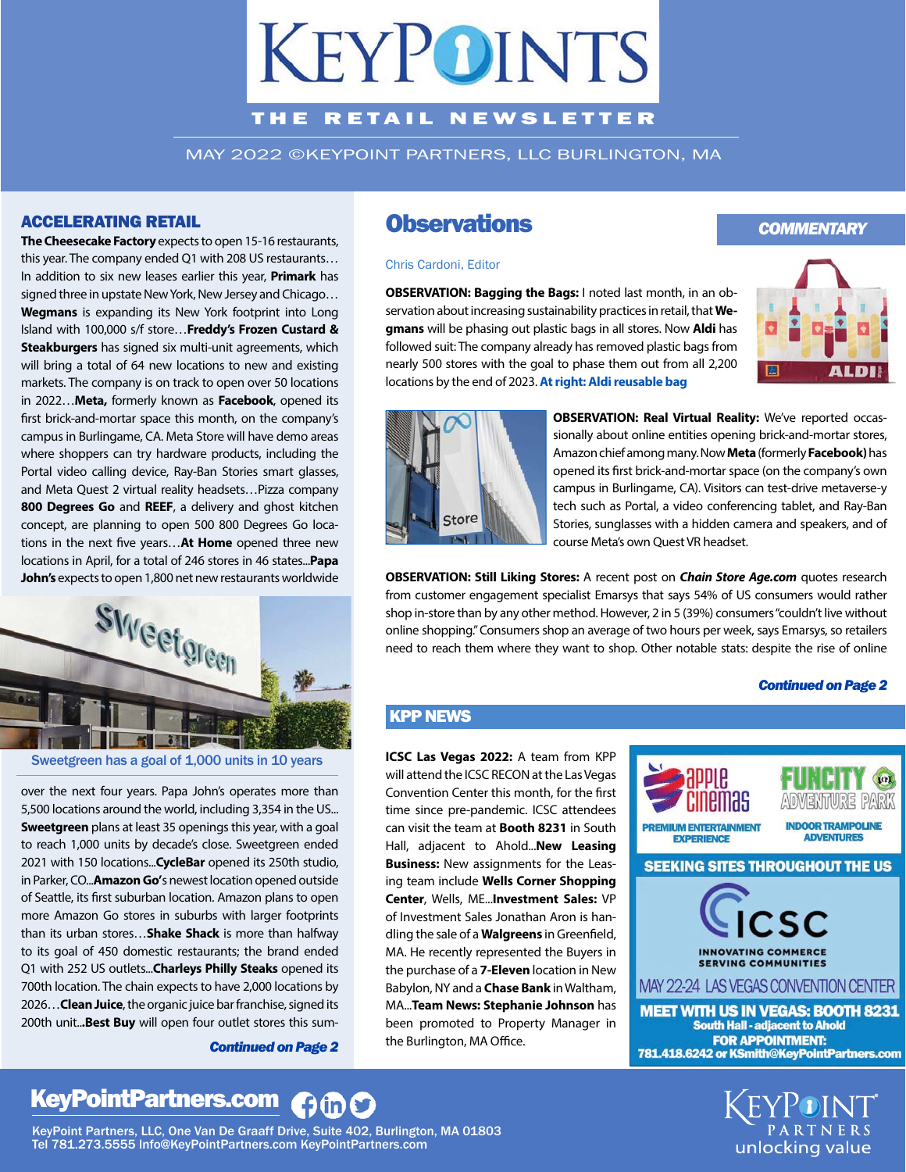# **KEYPOINTS**

#### THE RETAIL NEWSLETTER

MAY 2022 ©KEYPOINT PARTNERS, LLC BURLINGTON, MA

#### ACCELERATING RETAIL

**The Cheesecake Factory** expects to open 15-16 restaurants, this year. The company ended Q1 with 208 US restaurants… In addition to six new leases earlier this year, **Primark** has signed three in upstate New York, New Jersey and Chicago… **Wegmans** is expanding its New York footprint into Long Island with 100,000 s/f store…**Freddy's Frozen Custard & Steakburgers** has signed six multi-unit agreements, which will bring a total of 64 new locations to new and existing markets. The company is on track to open over 50 locations in 2022…**Meta,** formerly known as **Facebook**, opened its first brick-and-mortar space this month, on the company's campus in Burlingame, CA. Meta Store will have demo areas where shoppers can try hardware products, including the Portal video calling device, Ray-Ban Stories smart glasses, and Meta Quest 2 virtual reality headsets…Pizza company **800 Degrees Go** and **REEF**, a delivery and ghost kitchen concept, are planning to open 500 800 Degrees Go locations in the next five years... At Home opened three new locations in April, for a total of 246 stores in 46 states...**Papa John's** expects to open 1,800 net new restaurants worldwide



Sweetgreen has a goal of 1,000 units in 10 years

over the next four years. Papa John's operates more than 5,500 locations around the world, including 3,354 in the US... **Sweetgreen** plans at least 35 openings this year, with a goal to reach 1,000 units by decade's close. Sweetgreen ended 2021 with 150 locations...**CycleBar** opened its 250th studio, in Parker, CO...**Amazon Go'**s newest location opened outside of Seattle, its first suburban location. Amazon plans to open more Amazon Go stores in suburbs with larger footprints than its urban stores…**Shake Shack** is more than halfway to its goal of 450 domestic restaurants; the brand ended Q1 with 252 US outlets...**Charleys Philly Steaks** opened its 700th location. The chain expects to have 2,000 locations by 2026…**Clean Juice**, the organic juice bar franchise, signed its 200th unit..**.Best Buy** will open four outlet stores this sum-

*Continued on Page 2*

### **Observations**

#### Chris Cardoni, Editor

**OBSERVATION: Bagging the Bags:** I noted last month, in an observation about increasing sustainability practices in retail, that **Wegmans** will be phasing out plastic bags in all stores. Now **Aldi** has followed suit: The company already has removed plastic bags from nearly 500 stores with the goal to phase them out from all 2,200 locations by the end of 2023. **At right: Aldi reusable bag**



*COMMENTARY*



**OBSERVATION: Real Virtual Reality:** We've reported occassionally about online entities opening brick-and-mortar stores, Amazon chief among many. Now **Meta** (formerly **Facebook)** has opened its first brick-and-mortar space (on the company's own campus in Burlingame, CA). Visitors can test-drive metaverse-y tech such as Portal, a video conferencing tablet, and Ray-Ban Stories, sunglasses with a hidden camera and speakers, and of course Meta's own Quest VR headset.

**OBSERVATION: Still Liking Stores:** A recent post on **Chain Store Age.com** quotes research from customer engagement specialist Emarsys that says 54% of US consumers would rather shop in-store than by any other method. However, 2 in 5 (39%) consumers "couldn't live without online shopping." Consumers shop an average of two hours per week, says Emarsys, so retailers need to reach them where they want to shop. Other notable stats: despite the rise of online

#### *Continued on Page 2*

#### KPP NEWS

**ICSC Las Vegas 2022:** A team from KPP will attend the ICSC RECON at the Las Vegas Convention Center this month, for the first time since pre-pandemic. ICSC attendees can visit the team at **Booth 8231** in South Hall, adjacent to Ahold...**New Leasing Business:** New assignments for the Leasing team include **Wells Corner Shopping Center**, Wells, ME...**Investment Sales:** VP of Investment Sales Jonathan Aron is handling the sale of a **Walgreens** in Greenfield, MA. He recently represented the Buyers in the purchase of a **7-Eleven** location in New Babylon, NY and a **Chase Bank** in Waltham, MA...**Team News: Stephanie Johnson** has been promoted to Property Manager in the Burlington, MA Office.



unlocking value

# KeyPointPartners.com 1600

KeyPoint Partners, LLC, One Van De Graaff Drive, Suite 402, Burlington, MA 01803 Tel 781.273.5555 Info@KeyPointPartners.com KeyPointPartners.com